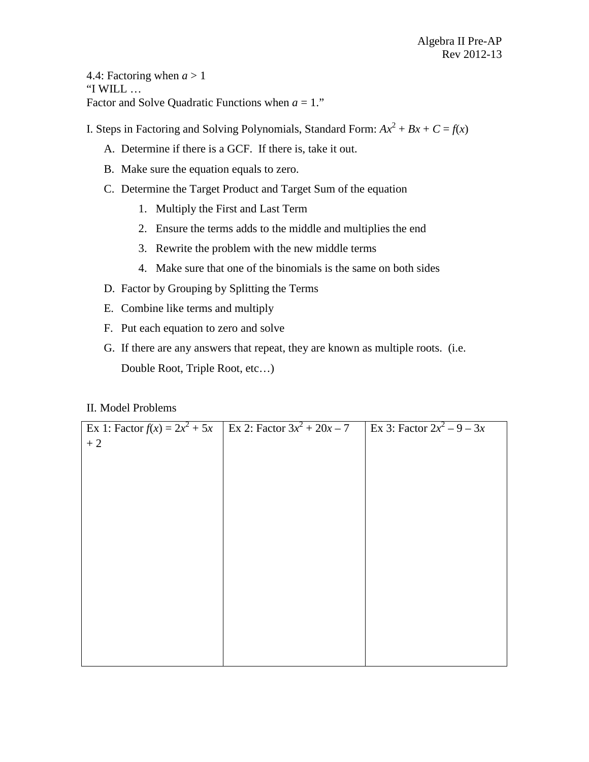4.4: Factoring when  $a > 1$ "I WILL … Factor and Solve Quadratic Functions when  $a = 1$ ."

I. Steps in Factoring and Solving Polynomials, Standard Form:  $Ax^2 + Bx + C = f(x)$ 

- A. Determine if there is a GCF. If there is, take it out.
- B. Make sure the equation equals to zero.
- C. Determine the Target Product and Target Sum of the equation
	- 1. Multiply the First and Last Term
	- 2. Ensure the terms adds to the middle and multiplies the end
	- 3. Rewrite the problem with the new middle terms
	- 4. Make sure that one of the binomials is the same on both sides
- D. Factor by Grouping by Splitting the Terms
- E. Combine like terms and multiply
- F. Put each equation to zero and solve
- G. If there are any answers that repeat, they are known as multiple roots. (i.e. Double Root, Triple Root, etc…)

# II. Model Problems

| Ex 1: Factor $f(x) = 2x^2 + 5x$ | Ex 2: Factor $3x^2 + 20x - 7$ | Ex 3: Factor $2x^2 - 9 - 3x$ |
|---------------------------------|-------------------------------|------------------------------|
| $+2$                            |                               |                              |
|                                 |                               |                              |
|                                 |                               |                              |
|                                 |                               |                              |
|                                 |                               |                              |
|                                 |                               |                              |
|                                 |                               |                              |
|                                 |                               |                              |
|                                 |                               |                              |
|                                 |                               |                              |
|                                 |                               |                              |
|                                 |                               |                              |
|                                 |                               |                              |
|                                 |                               |                              |
|                                 |                               |                              |
|                                 |                               |                              |
|                                 |                               |                              |
|                                 |                               |                              |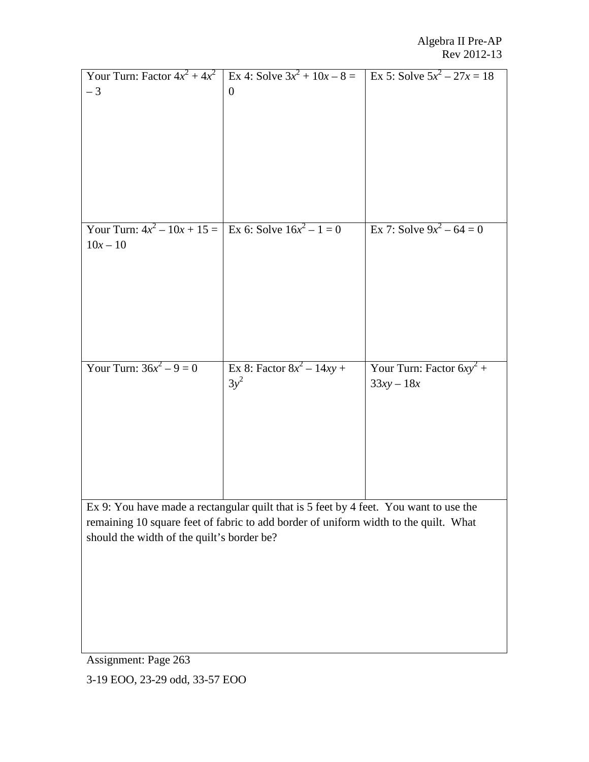| Your Turn: Factor $4x^2 + 4x^2$<br>$-3$                                  | Ex 4: Solve $3x^2 + 10x - 8 =$<br>$\boldsymbol{0}$                                                                                                                            | Ex 5: Solve $5x^2 - 27x = 18$               |
|--------------------------------------------------------------------------|-------------------------------------------------------------------------------------------------------------------------------------------------------------------------------|---------------------------------------------|
| Your Turn: $4x^2 - 10x + 15 =$ Ex 6: Solve $16x^2 - 1 = 0$<br>$10x - 10$ |                                                                                                                                                                               | Ex 7: Solve $9x^2 - 64 = 0$                 |
| Your Turn: $36x^2 - 9 = 0$                                               | Ex 8: Factor $8x^2 - 14xy +$<br>$3y^2$                                                                                                                                        | Your Turn: Factor $6xy^2$ +<br>$33xy - 18x$ |
| should the width of the quilt's border be?                               | Ex 9: You have made a rectangular quilt that is 5 feet by 4 feet. You want to use the<br>remaining 10 square feet of fabric to add border of uniform width to the quilt. What |                                             |

Assignment: Page 263

3-19 EOO, 23-29 odd, 33-57 EOO